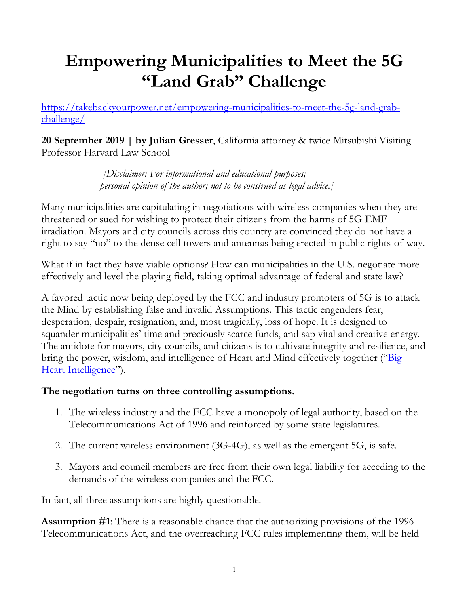# **Empowering Municipalities to Meet the 5G "Land Grab" Challenge**

[https://takebackyourpower.net/empowering-municipalities-to-meet-the-5g-land-grab](https://takebackyourpower.net/empowering-municipalities-to-meet-the-5g-land-grab-challenge/)[challenge/](https://takebackyourpower.net/empowering-municipalities-to-meet-the-5g-land-grab-challenge/)

**20 September 2019 | by Julian Gresser**, California attorney & twice Mitsubishi Visiting Professor Harvard Law School

> *[Disclaimer: For informational and educational purposes; personal opinion of the author; not to be construed as legal advice.]*

Many municipalities are capitulating in negotiations with wireless companies when they are threatened or sued for wishing to protect their citizens from the harms of 5G EMF irradiation. Mayors and city councils across this country are convinced they do not have a right to say "no" to the dense cell towers and antennas being erected in public rights-of-way.

What if in fact they have viable options? How can municipalities in the U.S. negotiate more effectively and level the playing field, taking optimal advantage of federal and state law?

A favored tactic now being deployed by the FCC and industry promoters of 5G is to attack the Mind by establishing false and invalid Assumptions. This tactic engenders fear, desperation, despair, resignation, and, most tragically, loss of hope. It is designed to squander municipalities' time and preciously scarce funds, and sap vital and creative energy. The antidote for mayors, city councils, and citizens is to cultivate integrity and resilience, and bring the power, wisdom, and intelligence of Heart and Mind effectively together ("Big [Heart Intelligence"](http://www.bighearttechnologies.com/)).

# **The negotiation turns on three controlling assumptions.**

- 1. The wireless industry and the FCC have a monopoly of legal authority, based on the Telecommunications Act of 1996 and reinforced by some state legislatures.
- 2. The current wireless environment (3G-4G), as well as the emergent 5G, is safe.
- 3. Mayors and council members are free from their own legal liability for acceding to the demands of the wireless companies and the FCC.

In fact, all three assumptions are highly questionable.

**Assumption #1**: There is a reasonable chance that the authorizing provisions of the 1996 Telecommunications Act, and the overreaching FCC rules implementing them, will be held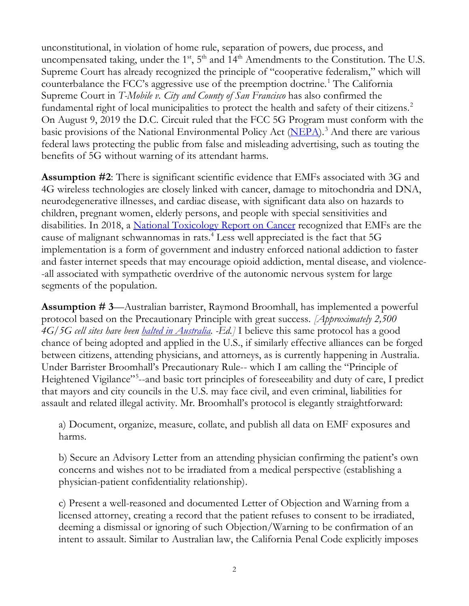unconstitutional, in violation of home rule, separation of powers, due process, and uncompensated taking, under the  $1<sup>st</sup>$ ,  $5<sup>th</sup>$  and  $14<sup>th</sup>$  Amendments to the Constitution. The U.S. Supreme Court has already recognized the principle of "cooperative federalism," which will counterbalance the FCC's aggressive use of the preemption doctrine.<sup>[1](#page-3-0)</sup> The California Supreme Court in *T-Mobile v. City and County of San Francisco* has also confirmed the fundamental right of local municipalities to protect the health and safety of their citizens.<sup>[2](#page-3-1)</sup> On August 9, 2019 the D.C. Circuit ruled that the FCC 5G Program must conform with the basic provisions of the National Environmental Policy Act [\(NEPA\)](https://ceq.doe.gov/).<sup>[3](#page-3-2)</sup> And there are various federal laws protecting the public from false and misleading advertising, such as touting the benefits of 5G without warning of its attendant harms.

**Assumption #2**: There is significant scientific evidence that EMFs associated with 3G and 4G wireless technologies are closely linked with cancer, damage to mitochondria and DNA, neurodegenerative illnesses, and cardiac disease, with significant data also on hazards to children, pregnant women, elderly persons, and people with special sensitivities and disabilities. In 2018, a [National Toxicology Report on Cancer](https://www.niehs.nih.gov/news/newsroom/releases/2018/november1/index.cfm) recognized that EMFs are the cause of malignant schwannomas in rats. [4](#page-4-0) Less well appreciated is the fact that 5G implementation is a form of government and industry enforced national addiction to faster and faster internet speeds that may encourage opioid addiction, mental disease, and violence- -all associated with sympathetic overdrive of the autonomic nervous system for large segments of the population.

**Assumption # 3**—Australian barrister, Raymond Broomhall, has implemented a powerful protocol based on the Precautionary Principle with great success. *[Approximately 2,500 4G/5G cell sites have been [halted in Australia.](https://au.finance.yahoo.com/news/tpg-says-community-health-fears-035230703.html?soc_src=community&soc_trk=fb) -Ed.]* I believe this same protocol has a good chance of being adopted and applied in the U.S., if similarly effective alliances can be forged between citizens, attending physicians, and attorneys, as is currently happening in Australia. Under Barrister Broomhall's Precautionary Rule-- which I am calling the "Principle of Heightened Vigilance"<sup>[5](#page-4-1)</sup>--and basic tort principles of foreseeability and duty of care, I predict that mayors and city councils in the U.S. may face civil, and even criminal, liabilities for assault and related illegal activity. Mr. Broomhall's protocol is elegantly straightforward:

a) Document, organize, measure, collate, and publish all data on EMF exposures and harms.

b) Secure an Advisory Letter from an attending physician confirming the patient's own concerns and wishes not to be irradiated from a medical perspective (establishing a physician-patient confidentiality relationship).

c) Present a well-reasoned and documented Letter of Objection and Warning from a licensed attorney, creating a record that the patient refuses to consent to be irradiated, deeming a dismissal or ignoring of such Objection/Warning to be confirmation of an intent to assault. Similar to Australian law, the California Penal Code explicitly imposes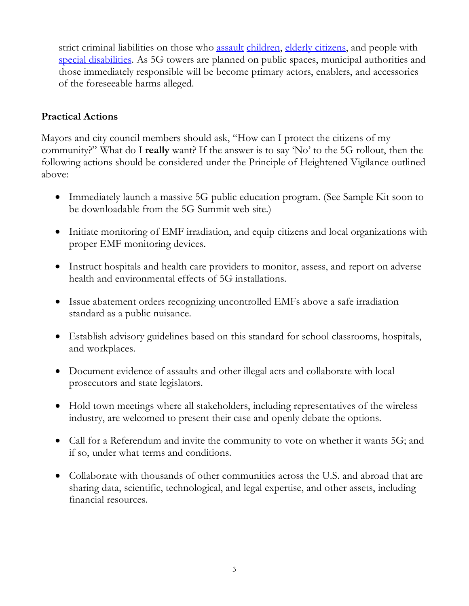strict criminal liabilities on those who [assault](https://leginfo.legislature.ca.gov/faces/codes_displaySection.xhtml?lawCode=PEN§ionNum=240) [children,](https://leginfo.legislature.ca.gov/faces/codes_displaySection.xhtml?lawCode=PEN§ionNum=273) [elderly citizens,](https://leginfo.legislature.ca.gov/faces/codes_displaySection.xhtml?lawCode=PEN§ionNum=368) and people with [special disabilities.](https://leginfo.legislature.ca.gov/faces/codes_displaySection.xhtml?sectionNum=422.55.&lawCode=PEN) As 5G towers are planned on public spaces, municipal authorities and those immediately responsible will be become primary actors, enablers, and accessories of the foreseeable harms alleged.

# **Practical Actions**

Mayors and city council members should ask, "How can I protect the citizens of my community?" What do I **really** want? If the answer is to say 'No' to the 5G rollout, then the following actions should be considered under the Principle of Heightened Vigilance outlined above:

- Immediately launch a massive 5G public education program. (See Sample Kit soon to be downloadable from the 5G Summit web site.)
- Initiate monitoring of EMF irradiation, and equip citizens and local organizations with proper EMF monitoring devices.
- Instruct hospitals and health care providers to monitor, assess, and report on adverse health and environmental effects of 5G installations.
- Issue abatement orders recognizing uncontrolled EMFs above a safe irradiation standard as a public nuisance.
- Establish advisory guidelines based on this standard for school classrooms, hospitals, and workplaces.
- Document evidence of assaults and other illegal acts and collaborate with local prosecutors and state legislators.
- Hold town meetings where all stakeholders, including representatives of the wireless industry, are welcomed to present their case and openly debate the options.
- Call for a Referendum and invite the community to vote on whether it wants 5G; and if so, under what terms and conditions.
- Collaborate with thousands of other communities across the U.S. and abroad that are sharing data, scientific, technological, and legal expertise, and other assets, including financial resources.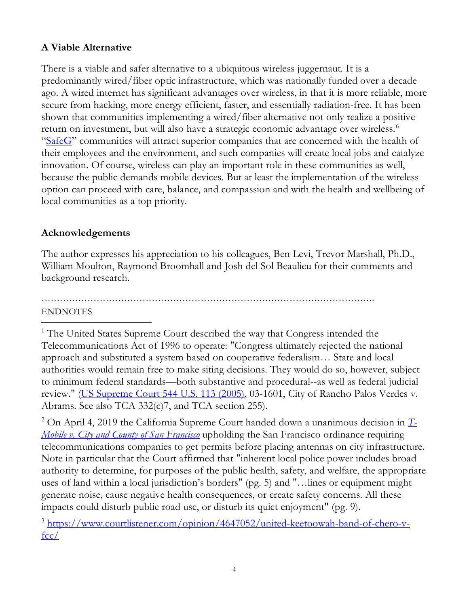# **A Viable Alternative**

There is a viable and safer alternative to a ubiquitous wireless juggernaut. It is a predominantly wired/fiber optic infrastructure, which was nationally funded over a decade ago. A wired internet has significant advantages over wireless, in that it is more reliable, more secure from hacking, more energy efficient, faster, and essentially radiation-free. It has been shown that communities implementing a wired/fiber alternative not only realize a positive return on investment, but will also have a strategic economic advantage over wireless. [6](#page-4-2) ["SafeG"](http://www.safeg.net/) communities will attract superior companies that are concerned with the health of their employees and the environment, and such companies will create local jobs and catalyze innovation. Of course, wireless can play an important role in these communities as well, because the public demands mobile devices. But at least the implementation of the wireless option can proceed with care, balance, and compassion and with the health and wellbeing of local communities as a top priority.

# **Acknowledgements**

The author expresses his appreciation to his colleagues, Ben Levi, Trevor Marshall, Ph.D., William Moulton, Raymond Broomhall and Josh del Sol Beaulieu for their comments and background research.

#### ………………………………………………………………………………………………. ENDNOTES

<span id="page-3-0"></span><sup>1</sup> The United States Supreme Court described the way that Congress intended the Telecommunications Act of 1996 to operate: "Congress ultimately rejected the national approach and substituted a system based on cooperative federalism… State and local authorities would remain free to make siting decisions. They would do so, however, subject to minimum federal standards—both substantive and procedural--as well as federal judicial review." [\(US Supreme Court 544 U.S. 113 \(2005\),](https://caselaw.findlaw.com/us-supreme-court/544/113.html) 03-1601, City of Rancho Palos Verdes v. Abrams. See also TCA 332(c)7, and TCA section 255).

<span id="page-3-1"></span><sup>2</sup> On April 4, 2019 the California Supreme Court handed down a unanimous decision in *[T-](https://law.justia.com/cases/california/supreme-court/2019/s238001.html)[Mobile v. City and County of San Francisco](https://law.justia.com/cases/california/supreme-court/2019/s238001.html)* upholding the San Francisco ordinance requiring telecommunications companies to get permits before placing antennas on city infrastructure. Note in particular that the Court affirmed that "inherent local police power includes broad authority to determine, for purposes of the public health, safety, and welfare, the appropriate uses of land within a local jurisdiction's borders" (pg. 5) and "…lines or equipment might generate noise, cause negative health consequences, or create safety concerns. All these impacts could disturb public road use, or disturb its quiet enjoyment" (pg. 9).

<span id="page-3-2"></span><sup>3</sup> [https://www.courtlistener.com/opinion/4647052/united-keetoowah-band-of-chero-v](https://www.courtlistener.com/opinion/4647052/united-keetoowah-band-of-chero-v-fcc/) $fcc/$